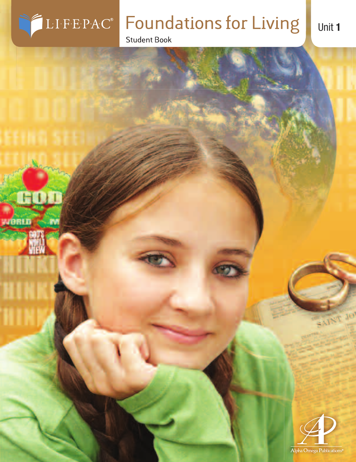

yaprın,

m

# **Foundations for Living**

**Student Book** 



SAINT JO

Unit 1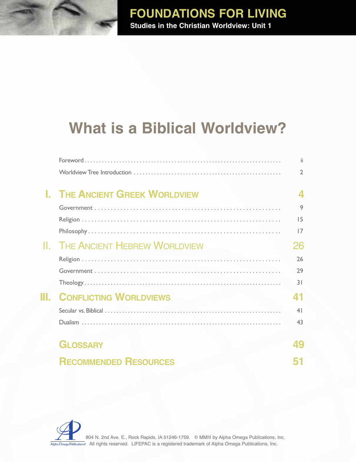## **FOUNDATIONS FOR LIVING Studies in the Christian Worldview: Unit 1**

# **What is a Biblical Worldview?**

|                                     | ii.            |
|-------------------------------------|----------------|
|                                     | 2              |
| <b>THE ANCIENT GREEK WORLDVIEW</b>  |                |
|                                     | 9              |
|                                     | 15             |
|                                     | 17             |
| <b>THE ANCIENT HEBREW WORLDVIEW</b> | 26             |
|                                     | 26             |
|                                     | 29             |
|                                     | 31             |
| <b>CONFLICTING WORLDVIEWS</b>       | 41             |
|                                     | 4 <sub>1</sub> |
|                                     | 43             |
| <b>GLOSSARY</b>                     | 49             |
| <b>RECOMMENDED RESOURCES</b>        |                |

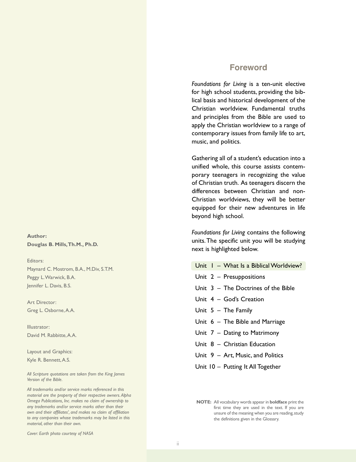#### **Author: Douglas B. Mills,Th.M., Ph.D.**

Editors: Maynard C. Mostrom, B.A., M.Div, S.T.M. Peggy L.Warwick, B.A. Jennifer L. Davis, B.S.

Art Director: Greg L. Osborne,A.A.

Illustrator: David M. Rabbitte, A.A.

Layout and Graphics: Kyle R. Bennett,A.S.

*All Scripture quotations are taken from the King James Version of the Bible.*

*All trademarks and/or service marks referenced in this material are the property of their respective owners.Alpha Omega Publications, Inc. makes no claim of ownership to any trademarks and/or service marks other than their own and their affiliates', and makes no claim of affiliation to any companies whose trademarks may be listed in this material, other than their own.*

*Cover: Earth photo courtesy of NASA*

#### **Foreword**

*Foundations for Living* is a ten-unit elective for high school students, providing the biblical basis and historical development of the Christian worldview. Fundamental truths and principles from the Bible are used to apply the Christian worldview to a range of contemporary issues from family life to art, music, and politics.

Gathering all of a student's education into a unified whole, this course assists contemporary teenagers in recognizing the value of Christian truth. As teenagers discern the differences between Christian and non-Christian worldviews, they will be better equipped for their new adventures in life beyond high school.

*Foundations for Living* contains the following units.The specific unit you will be studying next is highlighted below.

- Unit 1 What Is a Biblical Worldview?
- Unit 2 Presuppositions
- Unit 3 The Doctrines of the Bible
- Unit 4 God's Creation
- Unit 5 The Family
- Unit 6 The Bible and Marriage
- Unit 7 Dating to Matrimony
- Unit 8 Christian Education
- Unit 9 Art, Music, and Politics
- Unit 10 Putting It All Together

**NOTE:** All vocabulary words appear in **boldface** print the first time they are used in the text. If you are unsure of the meaning when you are reading,study the definitions given in the Glossary.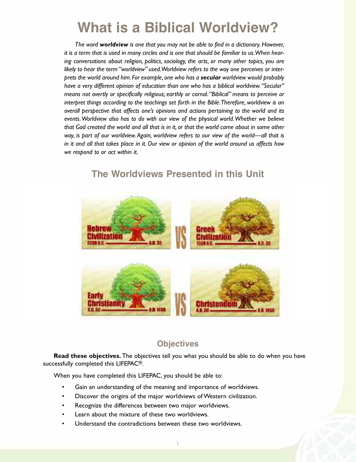# **What is a Biblical Worldview?**

*The word worldview is one that you may not be able to find in a dictionary.However,* it is a term that is used in many circles and is one that should be familiar to us. When hear*ing conversations about religion, politics, sociology, the arts, or many other topics, you are likely to hear the term "worldview" used.Worldview refers to the way one perceives or interprets the world around him. For example, one who has a secular worldview would probably have a very different opinion of education than one who has a biblical worldview."Secular" means not overtly or specifically religious; earthly or carnal. "Biblical" means to perceive or interpret things according to the teachings set forth in the Bible.Therefore, worldview is an overall perspective that affects one's opinions and actions pertaining to the world and its events.Worldview also has to do with our view of the physical world.Whether we believe* that God created the world and all that is in it, or that the world came about in some other *way, is part of our worldview. Again, worldview refers to our view of the world—all that is* in it and all that takes place in it. Our view or opinion of the world around us affects how *we respond to or act within it.*



### **The Worldviews Presented in this Unit**

#### **Objectives**

**Read these objectives.** The objectives tell you what you should be able to do when you have successfully completed this LIFEPAC®.

When you have completed this LIFEPAC, you should be able to:

- Gain an understanding of the meaning and importance of worldviews.
- Discover the origins of the major worldviews of Western civilization.
- Recognize the differences between two major worldviews.
- Learn about the mixture of these two worldviews.
- Understand the contradictions between these two worldviews.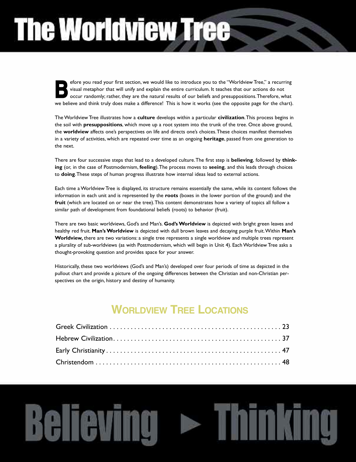# **The Worldview Tree**

efore you read your first section, we would like to introduce you to the "Worldview Tree," a recurring visual metaphor that will unify and explain the entire curriculum. It teaches that our actions do not occur randomly; rather, they are the natural results of our beliefs and presuppositions.Therefore, what efore you read your first section, we would like to introduce you to the "Worldview Tree," a recurring visual metaphor that will unify and explain the entire curriculum. It teaches that our actions do not occur randomly; r

The Worldview Tree illustrates how a **culture** develops within a particular **civilization**.This process begins in the soil with **presuppositions**, which move up a root system into the trunk of the tree. Once above ground, the **worldview** affects one's perspectives on life and directs one's choices.These choices manifest themselves in a variety of activities, which are repeated over time as an ongoing **heritage**, passed from one generation to the next.

There are four successive steps that lead to a developed culture.The first step is **believing**, followed by **thinking** (or, in the case of Postmodernism, **feeling**).The process moves to **seeing**, and this leads through choices to **doing**.These steps of human progress illustrate how internal ideas lead to external actions.

Each time a Worldview Tree is displayed, its structure remains essentially the same, while its content follows the information in each unit and is represented by the **roots** (boxes in the lower portion of the ground) and the **fruit** (which are located on or near the tree).This content demonstrates how a variety of topics all follow a similar path of development from foundational beliefs (roots) to behavior (fruit).

There are two basic worldviews, God's and Man's. **God'sWorldview** is depicted with bright green leaves and healthy red fruit. **Man'sWorldview** is depicted with dull brown leaves and decaying purple fruit.Within **Man's Worldview,** there are two variations: a single tree represents a single worldview and multiple trees represent a plurality of sub-worldviews (as with Postmodernism, which will begin in Unit 4). Each Worldview Tree asks a thought-provoking question and provides space for your answer.

Historically, these two worldviews (God's and Man's) developed over four periods of time as depicted in the pullout chart and provide a picture of the ongoing differences between the Christian and non-Christian perspectives on the origin, history and destiny of humanity.

## **WORLDVIEW TREE LOCATIONS**

nkina

**Believing > T**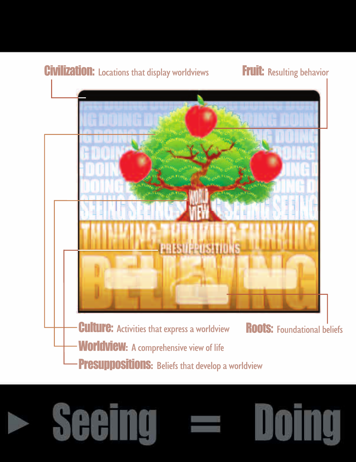

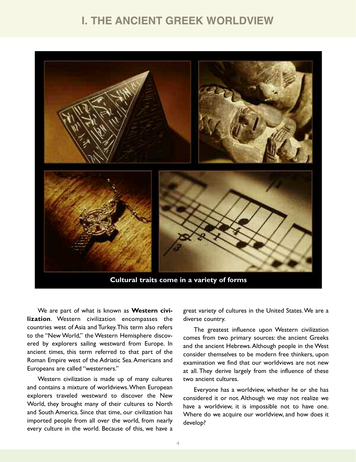### **I. THE ANCIENT GREEK WORLDVIEW**



We are part of what is known as **Western civilization**. Western civilization encompasses the countries west of Asia and Turkey.This term also refers to the "New World," the Western Hemisphere discovered by explorers sailing westward from Europe. In ancient times, this term referred to that part of the Roman Empire west of the Adriatic Sea.Americans and Europeans are called "westerners."

Western civilization is made up of many cultures and contains a mixture of worldviews.When European explorers traveled westward to discover the New World, they brought many of their cultures to North and South America. Since that time, our civilization has imported people from all over the world, from nearly every culture in the world. Because of this, we have a

great variety of cultures in the United States.We are a diverse country.

The greatest influence upon Western civilization comes from two primary sources: the ancient Greeks and the ancient Hebrews.Although people in the West consider themselves to be modern free thinkers, upon examination we find that our worldviews are not new at all. They derive largely from the influence of these two ancient cultures.

Everyone has a worldview, whether he or she has considered it or not. Although we may not realize we have a worldview, it is impossible not to have one. Where do we acquire our worldview, and how does it develop?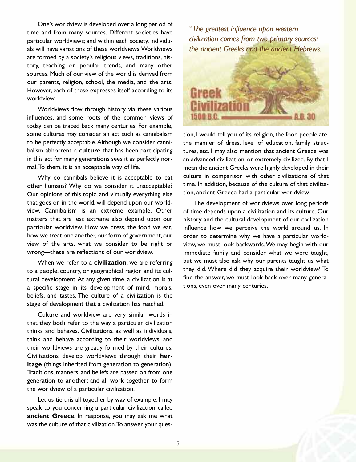One's worldview is developed over a long period of time and from many sources. Different societies have particular worldviews; and within each society, individuals will have variations of these worldviews.Worldviews are formed by a society's religious views, traditions, history, teaching or popular trends, and many other sources. Much of our view of the world is derived from our parents, religion, school, the media, and the arts. However, each of these expresses itself according to its worldview.

Worldviews flow through history via these various influences, and some roots of the common views of today can be traced back many centuries. For example, some cultures may consider an act such as cannibalism to be perfectly acceptable.Although we consider cannibalism abhorrent, a **culture** that has been participating in this act for many generations sees it as perfectly normal.To them, it is an acceptable way of life.

Why do cannibals believe it is acceptable to eat other humans? Why do we consider it unacceptable? Our opinions of this topic, and virtually everything else that goes on in the world, will depend upon our worldview. Cannibalism is an extreme example. Other matters that are less extreme also depend upon our particular worldview. How we dress, the food we eat, how we treat one another, our form of government, our view of the arts, what we consider to be right or wrong—these are reflections of our worldview.

When we refer to a **civilization**, we are referring to a people, country, or geographical region and its cultural development.At any given time, a civilization is at a specific stage in its development of mind, morals, beliefs, and tastes. The culture of a civilization is the stage of development that a civilization has reached.

Culture and worldview are very similar words in that they both refer to the way a particular civilization thinks and behaves. Civilizations, as well as individuals, think and behave according to their worldviews; and their worldviews are greatly formed by their cultures. Civilizations develop worldviews through their **heritage** (things inherited from generation to generation). Traditions, manners, and beliefs are passed on from one generation to another; and all work together to form the worldview of a particular civilization.

Let us tie this all together by way of example. I may speak to you concerning a particular civilization called **ancient Greece**. In response, you may ask me what was the culture of that civilization.To answer your ques-

*"The greatest influence upon western civilization comes from two primary sources: the ancient Greeks and the ancient Hebrews.*



tion, I would tell you of its religion, the food people ate, the manner of dress, level of education, family structures, etc. I may also mention that ancient Greece was an advanced civilization, or extremely civilized. By that I mean the ancient Greeks were highly developed in their culture in comparison with other civilizations of that time. In addition, because of the culture of that civilization, ancient Greece had a particular worldview.

The development of worldviews over long periods of time depends upon a civilization and its culture. Our history and the cultural development of our civilization influence how we perceive the world around us. In order to determine why we have a particular worldview, we must look backwards.We may begin with our immediate family and consider what we were taught, but we must also ask why our parents taught us what they did. Where did they acquire their worldview? To find the answer, we must look back over many generations, even over many centuries.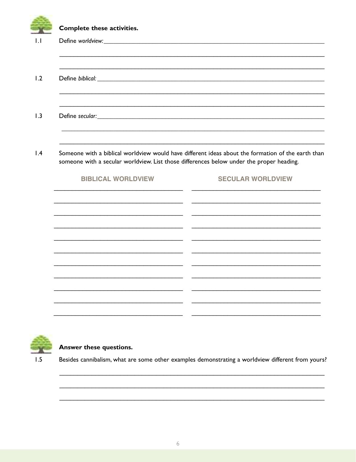| Complete these activities.                                                                                                                                                                     |                          |  |  |  |  |
|------------------------------------------------------------------------------------------------------------------------------------------------------------------------------------------------|--------------------------|--|--|--|--|
|                                                                                                                                                                                                |                          |  |  |  |  |
|                                                                                                                                                                                                |                          |  |  |  |  |
|                                                                                                                                                                                                |                          |  |  |  |  |
| Someone with a biblical worldview would have different ideas about the formation of the earth than<br>someone with a secular worldview. List those differences below under the proper heading. |                          |  |  |  |  |
| <b>BIBLICAL WORLDVIEW</b>                                                                                                                                                                      | <b>SECULAR WORLDVIEW</b> |  |  |  |  |
|                                                                                                                                                                                                |                          |  |  |  |  |
|                                                                                                                                                                                                |                          |  |  |  |  |
|                                                                                                                                                                                                |                          |  |  |  |  |
|                                                                                                                                                                                                |                          |  |  |  |  |
|                                                                                                                                                                                                |                          |  |  |  |  |
|                                                                                                                                                                                                |                          |  |  |  |  |



#### Answer these questions.

 $1.5$ Besides cannibalism, what are some other examples demonstrating a worldview different from yours?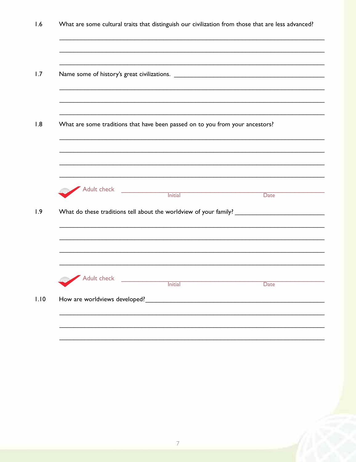$1.6$ What are some cultural traits that distinguish our civilization from those that are less advanced?  $1.7$  $1.8$ What are some traditions that have been passed on to you from your ancestors? Adult check **Initial** Date  $1.9$ Adult check **Initial** Date How are worldviews developed?  $1.10$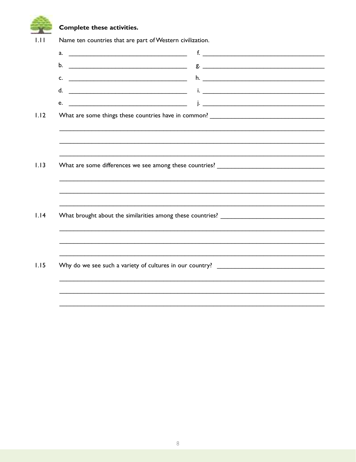Complete these activities.

| $a.$ $\qquad \qquad$ |  |
|----------------------|--|
|                      |  |
|                      |  |
|                      |  |
|                      |  |
|                      |  |
|                      |  |
|                      |  |
|                      |  |
|                      |  |
|                      |  |
|                      |  |
|                      |  |
|                      |  |
|                      |  |
|                      |  |
|                      |  |
|                      |  |
|                      |  |
|                      |  |
|                      |  |
|                      |  |
|                      |  |
|                      |  |
|                      |  |
|                      |  |
|                      |  |
|                      |  |
|                      |  |
|                      |  |
|                      |  |
|                      |  |
|                      |  |
|                      |  |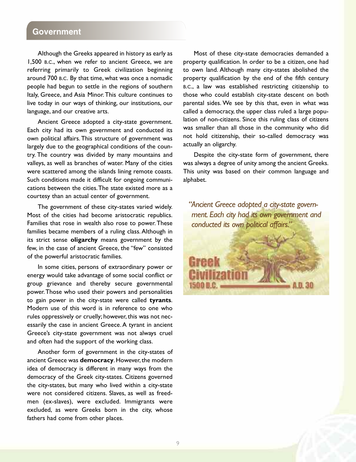#### **Government**

Although the Greeks appeared in history as early as 1,500 B.C., when we refer to ancient Greece, we are referring primarily to Greek civilization beginning around 700 B.C. By that time, what was once a nomadic people had begun to settle in the regions of southern Italy, Greece, and Asia Minor.This culture continues to live today in our ways of thinking, our institutions, our language, and our creative arts.

Ancient Greece adopted a city-state government. Each city had its own government and conducted its own political affairs.This structure of government was largely due to the geographical conditions of the country. The country was divided by many mountains and valleys, as well as branches of water. Many of the cities were scattered among the islands lining remote coasts. Such conditions made it difficult for ongoing communications between the cities.The state existed more as a courtesy than an actual center of government.

The government of these city-states varied widely. Most of the cities had become aristocratic republics. Families that rose in wealth also rose to power.These families became members of a ruling class.Although in its strict sense **oligarchy** means government by the few, in the case of ancient Greece, the "few" consisted of the powerful aristocratic families.

In some cities, persons of extraordinary power or energy would take advantage of some social conflict or group grievance and thereby secure governmental power.Those who used their powers and personalities to gain power in the city-state were called **tyrants**. Modern use of this word is in reference to one who rules oppressively or cruelly; however, this was not necessarily the case in ancient Greece.A tyrant in ancient Greece's city-state government was not always cruel and often had the support of the working class.

Another form of government in the city-states of ancient Greece was **democracy**. However, the modern idea of democracy is different in many ways from the democracy of the Greek city-states. Citizens governed the city-states, but many who lived within a city-state were not considered citizens. Slaves, as well as freedmen (ex-slaves), were excluded. Immigrants were excluded, as were Greeks born in the city, whose fathers had come from other places.

Most of these city-state democracies demanded a property qualification. In order to be a citizen, one had to own land. Although many city-states abolished the property qualification by the end of the fifth century B.C., a law was established restricting citizenship to those who could establish city-state descent on both parental sides. We see by this that, even in what was called a democracy, the upper class ruled a large population of non-citizens. Since this ruling class of citizens was smaller than all those in the community who did not hold citizenship, their so-called democracy was actually an oligarchy.

Despite the city-state form of government, there was always a degree of unity among the ancient Greeks. This unity was based on their common language and alphabet.

*"Ancient Greece adopted a city-state government. Each city had its own government and conducted its own political affairs."*

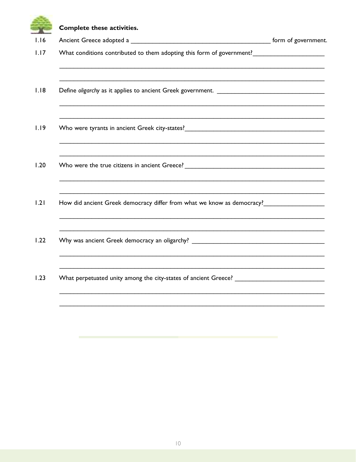|      | Complete these activities.                                                                                       |  |
|------|------------------------------------------------------------------------------------------------------------------|--|
| 1.16 |                                                                                                                  |  |
| 1.17 | What conditions contributed to them adopting this form of government?<br><u> </u>                                |  |
| 1.18 | and the control of the control of the control of the control of the control of the control of the control of the |  |
| 1.19 |                                                                                                                  |  |
| 1.20 |                                                                                                                  |  |
| 1.21 | How did ancient Greek democracy differ from what we know as democracy?                                           |  |
| 1.22 | Why was ancient Greek democracy an oligarchy? ___________________________________                                |  |
| 1.23 |                                                                                                                  |  |
|      |                                                                                                                  |  |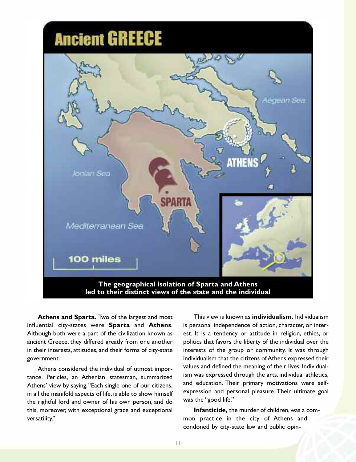

**Athens and Sparta.** Two of the largest and most influential city-states were **Sparta** and **Athens**. Although both were a part of the civilization known as ancient Greece, they differed greatly from one another in their interests, attitudes, and their forms of city-state government.

Athens considered the individual of utmost importance. Pericles, an Athenian statesman, summarized Athens' view by saying,"Each single one of our citizens, in all the manifold aspects of life, is able to show himself the rightful lord and owner of his own person, and do this, moreover, with exceptional grace and exceptional versatility."

This view is known as **individualism.** Individualism is personal independence of action, character, or interest. It is a tendency or attitude in religion, ethics, or politics that favors the liberty of the individual over the interests of the group or community. It was through individualism that the citizens of Athens expressed their values and defined the meaning of their lives. Individualism was expressed through the arts, individual athletics, and education. Their primary motivations were selfexpression and personal pleasure. Their ultimate goal was the "good life."

**Infanticide, the murder of children, was a com**mon practice in the city of Athens and condoned by city-state law and public opin-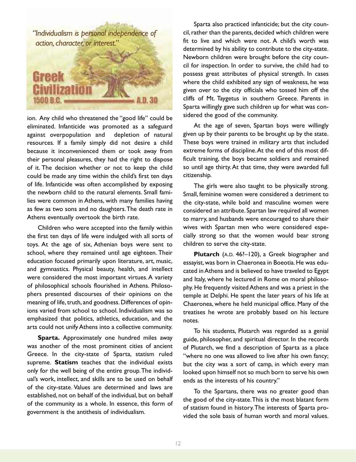

ion. Any child who threatened the "good life" could be eliminated. Infanticide was promoted as a safeguard against overpopulation and depletion of natural resources. If a family simply did not desire a child because it inconvenienced them or took away from their personal pleasures, they had the right to dispose of it. The decision whether or not to keep the child could be made any time within the child's first ten days of life. Infanticide was often accomplished by exposing the newborn child to the natural elements. Small families were common in Athens, with many families having as few as two sons and no daughters.The death rate in Athens eventually overtook the birth rate.

Children who were accepted into the family within the first ten days of life were indulged with all sorts of toys. At the age of six, Athenian boys were sent to school, where they remained until age eighteen. Their education focused primarily upon literature, art, music, and gymnastics. Physical beauty, health, and intellect were considered the most important virtues. A variety of philosophical schools flourished in Athens. Philosophers presented discourses of their opinions on the meaning of life, truth, and goodness. Differences of opinions varied from school to school. Individualism was so emphasized that politics, athletics, education, and the arts could not unify Athens into a collective community.

**Sparta.** Approximately one hundred miles away was another of the most prominent cities of ancient Greece. In the city-state of Sparta, statism ruled supreme. **Statism** teaches that the individual exists only for the well being of the entire group.The individual's work, intellect, and skills are to be used on behalf of the city-state. Values are determined and laws are established, not on behalf of the individual, but on behalf of the community as a whole. In essence, this form of government is the antithesis of individualism.

Sparta also practiced infanticide; but the city council, rather than the parents, decided which children were fit to live and which were not. A child's worth was determined by his ability to contribute to the city-state. Newborn children were brought before the city council for inspection. In order to survive, the child had to possess great attributes of physical strength. In cases where the child exhibited any sign of weakness, he was given over to the city officials who tossed him off the cliffs of Mt. Taygetus in southern Greece. Parents in Sparta willingly gave such children up for what was considered the good of the community.

At the age of seven, Spartan boys were willingly given up by their parents to be brought up by the state. These boys were trained in military arts that included extreme forms of discipline.At the end of this most difficult training, the boys became soldiers and remained so until age thirty.At that time, they were awarded full citizenship.

The girls were also taught to be physically strong. Small, feminine women were considered a detriment to the city-state, while bold and masculine women were considered an attribute. Spartan law required all women to marry, and husbands were encouraged to share their wives with Spartan men who were considered especially strong so that the women would bear strong children to serve the city-state.

**Plutarch** (A.D. 46?–120), a Greek biographer and essayist, was born in Chaeronea in Boeotia. He was educated inAthens and is believed to have traveled to Egypt and Italy, where he lectured in Rome on moral philosophy. He frequently visitedAthens and was a priest in the temple at Delphi. He spent the later years of his life at Chaeronea, where he held municipal office. Many of the treatises he wrote are probably based on his lecture notes.

To his students, Plutarch was regarded as a genial guide, philosopher, and spiritual director. In the records of Plutarch, we find a description of Sparta as a place "where no one was allowed to live after his own fancy; but the city was a sort of camp, in which every man looked upon himself not so much born to serve his own ends as the interests of his country."

To the Spartans, there was no greater good than the good of the city-state.This is the most blatant form of statism found in history.The interests of Sparta provided the sole basis of human worth and moral values.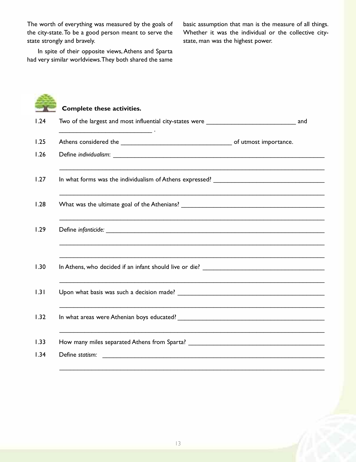The worth of everything was measured by the goals of the city-state.To be a good person meant to serve the state strongly and bravely.

basic assumption that man is the measure of all things. Whether it was the individual or the collective citystate, man was the highest power.

In spite of their opposite views, Athens and Sparta had very similar worldviews.They both shared the same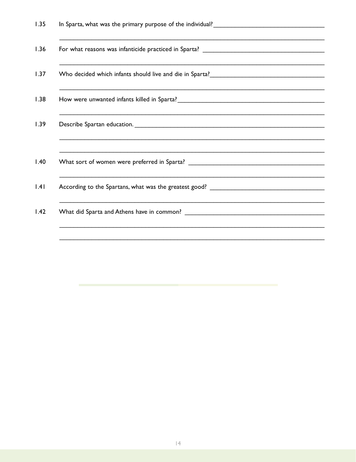| and the control of the control of the control of the control of the control of the control of the control of the |
|------------------------------------------------------------------------------------------------------------------|
|                                                                                                                  |
|                                                                                                                  |
| ,我们也不会有什么?""我们的人,我们也不会有什么?""我们的人,我们也不会有什么?""我们的人,我们也不会有什么?""我们的人,我们也不会有什么?""我们的人                                 |
|                                                                                                                  |
| ,我们也不会有什么。""我们的人,我们也不会有什么?""我们的人,我们也不会有什么?""我们的人,我们也不会有什么?""我们的人,我们也不会有什么?""我们的人                                 |
| ,我们也不会有什么。""我们的人,我们也不会有什么?""我们的人,我们也不会有什么?""我们的人,我们也不会有什么?""我们的人,我们也不会有什么?""我们的人                                 |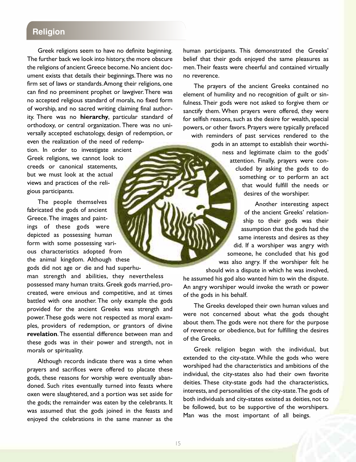#### **Religion**

Greek religions seem to have no definite beginning. The further back we look into history, the more obscure the religions of ancient Greece become.No ancient document exists that details their beginnings.There was no firm set of laws or standards.Among their religions, one can find no preeminent prophet or lawgiver.There was no accepted religious standard of morals, no fixed form of worship, and no sacred writing claiming final authority. There was no **hierarchy**, particular standard of orthodoxy, or central organization. There was no universally accepted eschatology, design of redemption, or even the realization of the need of redemp-

tion. In order to investigate ancient Greek religions, we cannot look to creeds or canonical statements, but we must look at the actual views and practices of the religious participants.

The people themselves fabricated the gods of ancient Greece.The images and paintings of these gods were depicted as possessing human form with some possessing various characteristics adopted from the animal kingdom. Although these gods did not age or die and had superhu-

man strength and abilities, they nevertheless possessed many human traits. Greek gods married, procreated, were envious and competitive, and at times battled with one another. The only example the gods provided for the ancient Greeks was strength and power.These gods were not respected as moral examples, providers of redemption, or grantors of divine **revelation**.The essential difference between man and these gods was in their power and strength, not in morals or spirituality.

Although records indicate there was a time when prayers and sacrifices were offered to placate these gods, these reasons for worship were eventually abandoned. Such rites eventually turned into feasts where oxen were slaughtered, and a portion was set aside for the gods; the remainder was eaten by the celebrants. It was assumed that the gods joined in the feasts and enjoyed the celebrations in the same manner as the human participants. This demonstrated the Greeks' belief that their gods enjoyed the same pleasures as men.Their feasts were cheerful and contained virtually no reverence.

The prayers of the ancient Greeks contained no element of humility and no recognition of guilt or sinfulness.Their gods were not asked to forgive them or sanctify them. When prayers were offered, they were for selfish reasons, such as the desire for wealth, special powers, or other favors. Prayers were typically prefaced

with reminders of past services rendered to the gods in an attempt to establish their worthiness and legitimate claim to the gods' attention. Finally, prayers were concluded by asking the gods to do something or to perform an act that would fulfill the needs or desires of the worshiper.

> Another interesting aspect of the ancient Greeks' relationship to their gods was their assumption that the gods had the same interests and desires as they did. If a worshiper was angry with someone, he concluded that his god was also angry. If the worshiper felt he

should win a dispute in which he was involved, he assumed his god also wanted him to win the dispute. An angry worshiper would invoke the wrath or power of the gods in his behalf.

The Greeks developed their own human values and were not concerned about what the gods thought about them.The gods were not there for the purpose of reverence or obedience, but for fulfilling the desires of the Greeks.

Greek religion began with the individual, but extended to the city-state. While the gods who were worshiped had the characteristics and ambitions of the individual, the city-states also had their own favorite deities. These city-state gods had the characteristics, interests, and personalities of the city-state.The gods of both individuals and city-states existed as deities, not to be followed, but to be supportive of the worshipers. Man was the most important of all beings.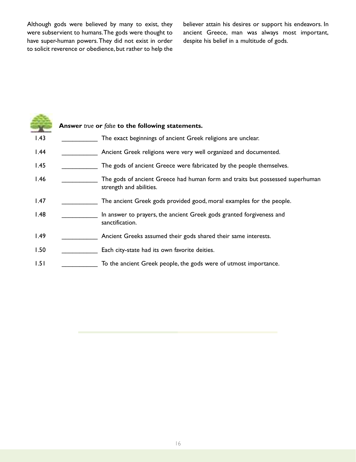Although gods were believed by many to exist, they were subservient to humans.The gods were thought to have super-human powers.They did not exist in order to solicit reverence or obedience, but rather to help the

believer attain his desires or support his endeavors. In ancient Greece, man was always most important, despite his belief in a multitude of gods.

|      | Answer true or false to the following statements.                                                        |
|------|----------------------------------------------------------------------------------------------------------|
| 1.43 | The exact beginnings of ancient Greek religions are unclear.                                             |
| 1.44 | Ancient Greek religions were very well organized and documented.                                         |
| 1.45 | The gods of ancient Greece were fabricated by the people themselves.                                     |
| 1.46 | The gods of ancient Greece had human form and traits but possessed superhuman<br>strength and abilities. |
| 1.47 | The ancient Greek gods provided good, moral examples for the people.                                     |
| 1.48 | In answer to prayers, the ancient Greek gods granted forgiveness and<br>sanctification.                  |
| 1.49 | Ancient Greeks assumed their gods shared their same interests.                                           |
| 1.50 | Each city-state had its own favorite deities.                                                            |
| 1.51 | To the ancient Greek people, the gods were of utmost importance.                                         |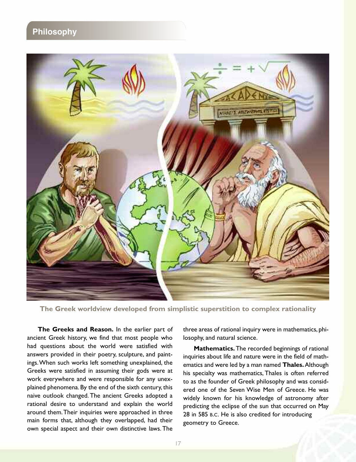#### **Philosophy**



**The Greek worldview developed from simplistic superstition to complex rationality**

**The Greeks and Reason.** In the earlier part of ancient Greek history, we find that most people who had questions about the world were satisfied with answers provided in their poetry, sculpture, and paintings.When such works left something unexplained, the Greeks were satisfied in assuming their gods were at work everywhere and were responsible for any unexplained phenomena. By the end of the sixth century, this naive outlook changed. The ancient Greeks adopted a rational desire to understand and explain the world around them.Their inquiries were approached in three main forms that, although they overlapped, had their own special aspect and their own distinctive laws.The

three areas of rational inquiry were in mathematics, philosophy, and natural science.

**Mathematics.** The recorded beginnings of rational inquiries about life and nature were in the field of mathematics and were led by a man named **Thales.**Although his specialty was mathematics, Thales is often referred to as the founder of Greek philosophy and was considered one of the Seven Wise Men of Greece. He was widely known for his knowledge of astronomy after predicting the eclipse of the sun that occurred on May 28 in 585 B.C. He is also credited for introducing geometry to Greece.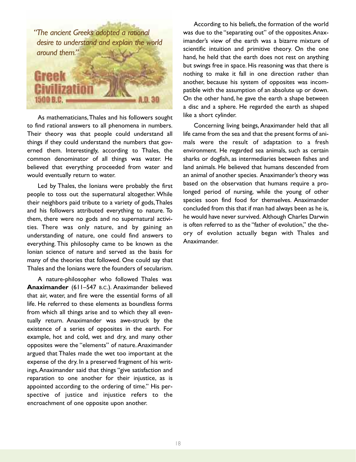

As mathematicians,Thales and his followers sought to find rational answers to all phenomena in numbers. Their theory was that people could understand all things if they could understand the numbers that governed them. Interestingly, according to Thales, the common denominator of all things was water. He believed that everything proceeded from water and would eventually return to water.

Led by Thales, the Ionians were probably the first people to toss out the supernatural altogether. While their neighbors paid tribute to a variety of gods,Thales and his followers attributed everything to nature. To them, there were no gods and no supernatural activities. There was only nature, and by gaining an understanding of nature, one could find answers to everything. This philosophy came to be known as the Ionian science of nature and served as the basis for many of the theories that followed. One could say that Thales and the Ionians were the founders of secularism.

A nature-philosopher who followed Thales was **Anaximander** (611–547 B.C.). Anaximander believed that air, water, and fire were the essential forms of all life. He referred to these elements as boundless forms from which all things arise and to which they all eventually return. Anaximander was awe-struck by the existence of a series of opposites in the earth. For example, hot and cold, wet and dry, and many other opposites were the "elements" of nature.Anaximander argued that Thales made the wet too important at the expense of the dry. In a preserved fragment of his writings,Anaximander said that things "give satisfaction and reparation to one another for their injustice, as is appointed according to the ordering of time." His perspective of justice and injustice refers to the encroachment of one opposite upon another.

According to his beliefs, the formation of the world was due to the "separating out" of the opposites.Anaximander's view of the earth was a bizarre mixture of scientific intuition and primitive theory. On the one hand, he held that the earth does not rest on anything but swings free in space. His reasoning was that there is nothing to make it fall in one direction rather than another, because his system of opposites was incompatible with the assumption of an absolute up or down. On the other hand, he gave the earth a shape between a disc and a sphere. He regarded the earth as shaped like a short cylinder.

Concerning living beings,Anaximander held that all life came from the sea and that the present forms of animals were the result of adaptation to a fresh environment. He regarded sea animals, such as certain sharks or dogfish, as intermediaries between fishes and land animals. He believed that humans descended from an animal of another species. Anaximander's theory was based on the observation that humans require a prolonged period of nursing, while the young of other species soon find food for themselves. Anaximander concluded from this that if man had always been as he is, he would have never survived. Although Charles Darwin is often referred to as the "father of evolution," the theory of evolution actually began with Thales and Anaximander.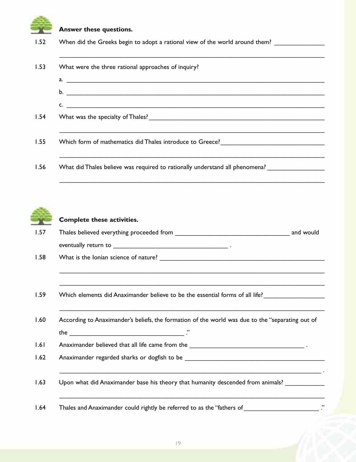## **Answer these questions.** 1.52 When did the Greeks begin to adopt a rational view of the world around them? \_\_\_\_\_\_\_\_\_\_\_\_\_\_\_\_\_\_\_\_\_\_\_\_\_\_\_\_\_\_\_\_\_\_\_\_\_\_\_\_\_\_\_\_\_\_\_\_\_\_\_\_\_\_\_\_\_\_\_\_\_\_\_\_\_\_\_\_\_\_\_\_\_\_ 1.53 What were the three rational approaches of inquiry? a.  $b.$  $c.$ 1.54 What was the specialty of Thales? The state of the state of the state of the state of the state of the state of the state of the state of the state of the state of the state of the state of the state of the state of t \_\_\_\_\_\_\_\_\_\_\_\_\_\_\_\_\_\_\_\_\_\_\_\_\_\_\_\_\_\_\_\_\_\_\_\_\_\_\_\_\_\_\_\_\_\_\_\_\_\_\_\_\_\_\_\_\_\_\_\_\_\_\_\_\_\_\_\_\_\_\_\_\_\_ 1.55 Which form of mathematics did Thales introduce to Greece? \_\_\_\_\_\_\_\_\_\_\_\_\_\_\_\_\_\_\_\_\_\_\_\_\_\_\_\_\_\_\_\_\_\_\_\_\_\_\_\_\_\_\_\_\_\_\_\_\_\_\_\_\_\_\_\_\_\_\_\_\_\_\_\_\_\_\_\_\_\_\_\_\_\_ 1.56 What did Thales believe was required to rationally understand all phenomena?



#### **Complete these activities.**

| 1.57 | Thales believed everything proceeded from |  |  |
|------|-------------------------------------------|--|--|
|      | eventually return to                      |  |  |

\_\_\_\_\_\_\_\_\_\_\_\_\_\_\_\_\_\_\_\_\_\_\_\_\_\_\_\_\_\_\_\_\_\_\_\_\_\_\_\_\_\_\_\_\_\_\_\_\_\_\_\_\_\_\_\_\_\_\_\_\_\_\_\_\_\_\_\_\_\_\_\_\_\_

\_\_\_\_\_\_\_\_\_\_\_\_\_\_\_\_\_\_\_\_\_\_\_\_\_\_\_\_\_\_\_\_\_\_\_\_\_\_\_\_\_\_\_\_\_\_\_\_\_\_\_\_\_\_\_\_\_\_\_\_\_\_\_\_\_\_\_\_\_\_\_\_\_\_

\_\_\_\_\_\_\_\_\_\_\_\_\_\_\_\_\_\_\_\_\_\_\_\_\_\_\_\_\_\_\_\_\_\_\_\_\_\_\_\_\_\_\_\_\_\_\_\_\_\_\_\_\_\_\_\_\_\_\_\_\_\_\_\_\_\_\_\_\_\_\_\_\_\_

\_\_\_\_\_\_\_\_\_\_\_\_\_\_\_\_\_\_\_\_\_\_\_\_\_\_\_\_\_\_\_\_\_\_\_\_\_\_\_\_\_\_\_\_\_\_\_\_\_\_\_\_\_\_\_\_\_\_\_\_\_\_\_\_\_\_\_\_\_\_\_\_\_\_

\_\_\_\_\_\_\_\_\_\_\_\_\_\_\_\_\_\_\_\_\_\_\_\_\_\_\_\_\_\_\_\_\_\_\_\_\_\_\_\_\_\_\_\_\_\_\_\_\_\_\_\_\_\_\_\_\_\_\_\_\_\_\_\_\_\_\_\_\_\_\_\_\_ .

\_\_\_\_\_\_\_\_\_\_\_\_\_\_\_\_\_\_\_\_\_\_\_\_\_\_\_\_\_\_\_\_\_\_\_\_\_\_\_\_\_\_\_\_\_\_\_\_\_\_\_\_\_\_\_\_\_\_\_\_\_\_\_\_\_\_\_\_\_\_\_\_\_\_

1.58 What is the Ionian science of nature? \_\_\_\_\_\_\_\_\_\_\_\_\_\_\_\_\_\_\_\_\_\_\_\_\_\_\_\_\_\_\_\_\_\_\_\_\_\_\_\_\_\_\_\_\_\_

1.59 Which elements did Anaximander believe to be the essential forms of all life?

1.60 According to Anaximander's beliefs, the formation of the world was due to the "separating out of the  $\overline{\phantom{a}}$ 

1.61 Anaximander believed that all life came from the \_\_\_\_\_\_\_\_\_\_\_\_\_\_\_\_\_\_\_\_\_\_\_\_\_\_\_

1.62 Anaximander regarded sharks or dogfish to be \_\_\_\_\_\_\_\_\_\_\_\_\_\_\_\_\_\_\_\_\_\_\_\_\_\_\_\_\_\_\_\_\_\_\_\_\_\_\_

1.63 Upon what did Anaximander base his theory that humanity descended from animals?

1.64 Thales and Anaximander could rightly be referred to as the "fathers of \_\_\_\_\_\_\_\_\_\_\_\_\_\_\_\_\_\_\_\_\_\_\_\_\_\_\_ ."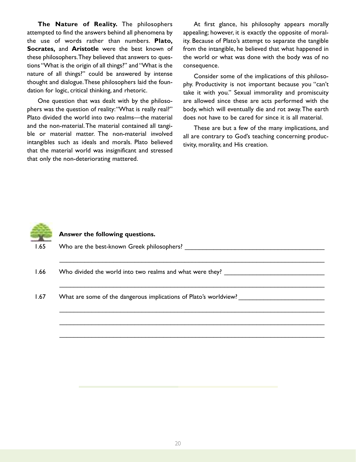**The Nature of Reality.** The philosophers attempted to find the answers behind all phenomena by the use of words rather than numbers. **Plato, Socrates,** and **Aristotle** were the best known of these philosophers.They believed that answers to questions "What is the origin of all things?" and "What is the nature of all things?" could be answered by intense thought and dialogue.These philosophers laid the foundation for logic, critical thinking, and rhetoric.

One question that was dealt with by the philosophers was the question of reality: "What is really real?" Plato divided the world into two realms—the material and the non-material.The material contained all tangible or material matter. The non-material involved intangibles such as ideals and morals. Plato believed that the material world was insignificant and stressed that only the non-deteriorating mattered.

At first glance, his philosophy appears morally appealing; however, it is exactly the opposite of morality. Because of Plato's attempt to separate the tangible from the intangible, he believed that what happened in the world or what was done with the body was of no consequence.

Consider some of the implications of this philosophy. Productivity is not important because you "can't take it with you." Sexual immorality and promiscuity are allowed since these are acts performed with the body, which will eventually die and rot away.The earth does not have to be cared for since it is all material.

These are but a few of the many implications, and all are contrary to God's teaching concerning productivity, morality, and His creation.



#### **Answer the following questions.**

| 1.65 | Who are the best-known Greek philosophers? |  |  |
|------|--------------------------------------------|--|--|
|      |                                            |  |  |

- 1.66 Who divided the world into two realms and what were they?
- 1.67 What are some of the dangerous implications of Plato's worldview?

\_\_\_\_\_\_\_\_\_\_\_\_\_\_\_\_\_\_\_\_\_\_\_\_\_\_\_\_\_\_\_\_\_\_\_\_\_\_\_\_\_\_\_\_\_\_\_\_\_\_\_\_\_\_\_\_\_\_\_\_\_\_\_\_\_\_\_\_\_\_\_\_\_\_

\_\_\_\_\_\_\_\_\_\_\_\_\_\_\_\_\_\_\_\_\_\_\_\_\_\_\_\_\_\_\_\_\_\_\_\_\_\_\_\_\_\_\_\_\_\_\_\_\_\_\_\_\_\_\_\_\_\_\_\_\_\_\_\_\_\_\_\_\_\_\_\_\_\_

\_\_\_\_\_\_\_\_\_\_\_\_\_\_\_\_\_\_\_\_\_\_\_\_\_\_\_\_\_\_\_\_\_\_\_\_\_\_\_\_\_\_\_\_\_\_\_\_\_\_\_\_\_\_\_\_\_\_\_\_\_\_\_\_\_\_\_\_\_\_\_\_\_\_

\_\_\_\_\_\_\_\_\_\_\_\_\_\_\_\_\_\_\_\_\_\_\_\_\_\_\_\_\_\_\_\_\_\_\_\_\_\_\_\_\_\_\_\_\_\_\_\_\_\_\_\_\_\_\_\_\_\_\_\_\_\_\_\_\_\_\_\_\_\_\_\_\_\_

\_\_\_\_\_\_\_\_\_\_\_\_\_\_\_\_\_\_\_\_\_\_\_\_\_\_\_\_\_\_\_\_\_\_\_\_\_\_\_\_\_\_\_\_\_\_\_\_\_\_\_\_\_\_\_\_\_\_\_\_\_\_\_\_\_\_\_\_\_\_\_\_\_\_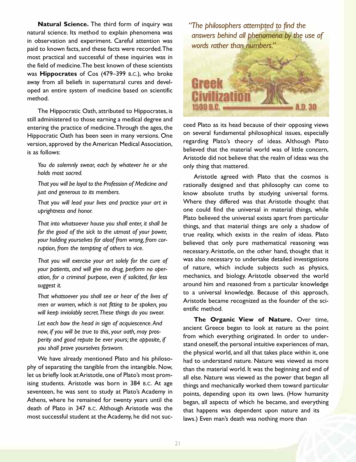**Natural Science.** The third form of inquiry was natural science. Its method to explain phenomena was in observation and experiment. Careful attention was paid to known facts, and these facts were recorded.The most practical and successful of these inquiries was in the field of medicine.The best known of these scientists was **Hippocrates** of Cos (479–399 B.C.), who broke away from all beliefs in supernatural cures and developed an entire system of medicine based on scientific method.

The Hippocratic Oath, attributed to Hippocrates, is still administered to those earning a medical degree and entering the practice of medicine.Through the ages, the Hippocratic Oath has been seen in many versions. One version, approved by the American Medical Association, is as follows:

*You do solemnly swear, each by whatever he or she holds most sacred.*

*That you will be loyal to the Profession of Medicine and just and generous to its members.*

*That you will lead your lives and practice your art in uprightness and honor.*

*That into whatsoever house you shall enter, it shall be for the good of the sick to the utmost of your power, your holding yourselves far aloof from wrong, from corruption, from the tempting of others to vice.*

*That you will exercise your art solely for the cure of your patients, and will give no drug, perform no operation, for a criminal purpose, even if solicited, far less suggest it.*

*That whatsoever you shall see or hear of the lives of men or women, which is not fitting to be spoken, you will keep inviolably secret.These things do you swear.*

*Let each bow the head in sign of acquiescence.And now, if you will be true to this, your oath, may prosperity and good repute be ever yours; the opposite, if you shall prove yourselves forsworn.*

We have already mentioned Plato and his philosophy of separating the tangible from the intangible. Now, let us briefly look at Aristotle, one of Plato's most promising students. Aristotle was born in 384 B.C. At age seventeen, he was sent to study at Plato's Academy in Athens, where he remained for twenty years until the death of Plato in 347 B.C. Although Aristotle was the most successful student at theAcademy, he did not suc*"The philosophers attempted to find the answers behind all phenomena by the use of words rather than numbers."*



ceed Plato as its head because of their opposing views on several fundamental philosophical issues, especially regarding Plato's theory of ideas. Although Plato believed that the material world was of little concern, Aristotle did not believe that the realm of ideas was the only thing that mattered.

Aristotle agreed with Plato that the cosmos is rationally designed and that philosophy can come to know absolute truths by studying universal forms. Where they differed was that Aristotle thought that one could find the universal in material things, while Plato believed the universal exists apart from particular things, and that material things are only a shadow of true reality, which exists in the realm of ideas. Plato believed that only pure mathematical reasoning was necessary.Aristotle, on the other hand, thought that it was also necessary to undertake detailed investigations of nature, which include subjects such as physics, mechanics, and biology. Aristotle observed the world around him and reasoned from a particular knowledge to a universal knowledge. Because of this approach, Aristotle became recognized as the founder of the scientific method.

**The Organic View of Nature.** Over time, ancient Greece began to look at nature as the point from which everything originated. In order to understand oneself, the personal intuitive experiences of man, the physical world, and all that takes place within it, one had to understand nature. Nature was viewed as more than the material world. It was the beginning and end of all else. Nature was viewed as the power that began all things and mechanically worked them toward particular points, depending upon its own laws. (How humanity began, all aspects of which he became, and everything that happens was dependent upon nature and its laws.) Even man's death was nothing more than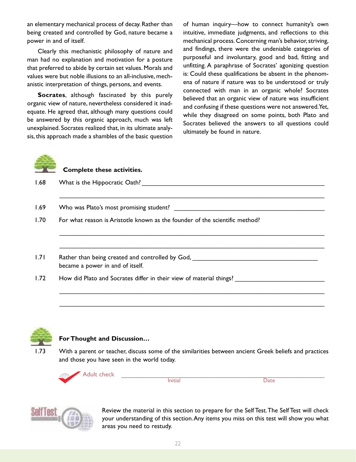an elementary mechanical process of decay. Rather than being created and controlled by God, nature became a power in and of itself.

Clearly this mechanistic philosophy of nature and man had no explanation and motivation for a posture that preferred to abide by certain set values.Morals and values were but noble illusions to an all-inclusive, mechanistic interpretation of things, persons, and events.

**Socrates**, although fascinated by this purely organic view of nature, nevertheless considered it inadequate. He agreed that, although many questions could be answered by this organic approach, much was left unexplained. Socrates realized that, in its ultimate analysis, this approach made a shambles of the basic question of human inquiry—how to connect humanity's own intuitive, immediate judgments, and reflections to this mechanical process. Concerning man's behavior, striving, and findings, there were the undeniable categories of purposeful and involuntary, good and bad, fitting and unfitting. A paraphrase of Socrates' agonizing question is: Could these qualifications be absent in the phenomena of nature if nature was to be understood or truly connected with man in an organic whole? Socrates believed that an organic view of nature was insufficient and confusing if these questions were not answered.Yet, while they disagreed on some points, both Plato and Socrates believed the answers to all questions could ultimately be found in nature.



**Complete these activities.**

1.68 What is the Hippocratic Oath? **What is the Hippocratic Oath?** 

1.69 Who was Plato's most promising student? \_\_\_\_\_\_\_\_\_\_\_\_\_\_\_\_\_\_\_\_\_\_\_\_\_\_\_\_\_\_\_\_\_\_\_

1.70 For what reason is Aristotle known as the founder of the scientific method?

1.71 Rather than being created and controlled by God, \_\_\_\_\_\_\_\_\_\_\_\_\_\_\_\_\_\_\_\_\_\_\_\_\_\_\_\_\_\_\_\_\_\_\_ became a power in and of itself.

1.72 How did Plato and Socrates differ in their view of material things?



#### **For Thought and Discussion…**

1.73 With a parent or teacher, discuss some of the similarities between ancient Greek beliefs and practices and those you have seen in the world today.

\_\_\_\_\_\_\_\_\_\_\_\_\_\_\_\_\_\_\_\_\_\_\_\_\_\_\_\_\_\_\_\_\_\_\_\_\_\_\_\_\_\_\_\_\_\_\_\_\_\_\_\_\_\_\_\_\_\_\_\_\_\_\_\_\_\_\_\_\_\_\_\_\_\_

\_\_\_\_\_\_\_\_\_\_\_\_\_\_\_\_\_\_\_\_\_\_\_\_\_\_\_\_\_\_\_\_\_\_\_\_\_\_\_\_\_\_\_\_\_\_\_\_\_\_\_\_\_\_\_\_\_\_\_\_\_\_\_\_\_\_\_\_\_\_\_\_\_\_

\_\_\_\_\_\_\_\_\_\_\_\_\_\_\_\_\_\_\_\_\_\_\_\_\_\_\_\_\_\_\_\_\_\_\_\_\_\_\_\_\_\_\_\_\_\_\_\_\_\_\_\_\_\_\_\_\_\_\_\_\_\_\_\_\_\_\_\_\_\_\_\_\_\_

\_\_\_\_\_\_\_\_\_\_\_\_\_\_\_\_\_\_\_\_\_\_\_\_\_\_\_\_\_\_\_\_\_\_\_\_\_\_\_\_\_\_\_\_\_\_\_\_\_\_\_\_\_\_\_\_\_\_\_\_\_\_\_\_\_\_\_\_\_\_\_\_\_\_

\_\_\_\_\_\_\_\_\_\_\_\_\_\_\_\_\_\_\_\_\_\_\_\_\_\_\_\_\_\_\_\_\_\_\_\_\_\_\_\_\_\_\_\_\_\_\_\_\_\_\_\_\_\_\_\_\_\_\_\_\_\_\_\_\_\_\_\_\_\_\_\_\_\_





Review the material in this section to prepare for the Self Test.The Self Test will check your understanding of this section.Any items you miss on this test will show you what areas you need to restudy.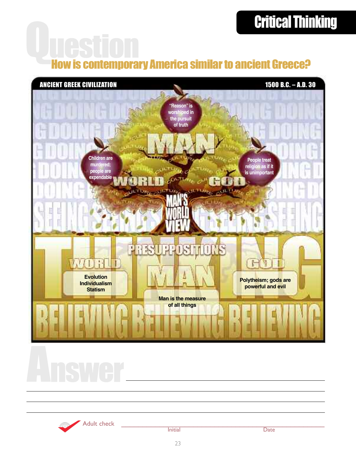# Critical Thinking

# How is contemporary America similar to ancient Greece?



Adult check \_\_\_\_\_\_\_\_\_\_\_\_\_\_\_\_\_\_\_\_\_\_\_\_\_\_\_\_\_\_\_\_\_\_\_\_\_\_\_\_\_\_\_\_\_\_\_\_ Initial Date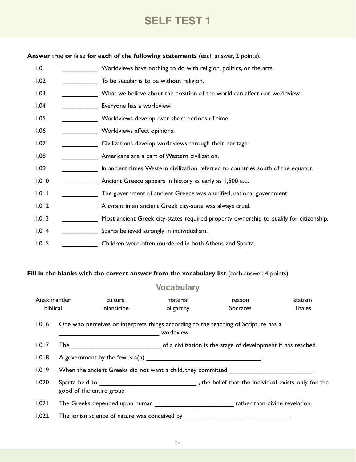## **SELF TEST 1**

**Answer** true **or** false **for each of the following statements** (each answer, 2 points).

1.01 **Worldviews have nothing to do with religion, politics, or the arts.** 1.02 \_\_\_\_\_\_\_\_\_\_\_\_\_\_\_ To be secular is to be without religion. 1.03 \_\_\_\_\_\_\_\_\_\_\_\_\_ What we believe about the creation of the world can affect our worldview. 1.04 **Leaper** Everyone has a worldview. 1.05 \_\_\_\_\_\_\_\_\_\_\_\_\_\_ Worldviews develop over short periods of time. 1.06 \_\_\_\_\_\_\_\_\_\_\_\_\_\_\_\_\_ Worldviews affect opinions. 1.07 **\_\_\_\_\_\_\_\_\_\_** Civilizations develop worldviews through their heritage. 1.08 \_\_\_\_\_\_\_\_\_\_\_\_\_\_\_\_ Americans are a part of Western civilization. 1.09 **I.09** In ancient times, Western civilization referred to countries south of the equator. 1.010 \_\_\_\_\_\_\_\_\_\_\_\_\_\_\_\_\_ Ancient Greece appears in history as early as 1,500 B.C. 1.011 \_\_\_\_\_\_\_\_\_\_\_\_\_\_ The government of ancient Greece was a unified, national government. 1.012 \_\_\_\_\_\_\_\_\_\_\_\_\_\_ A tyrant in an ancient Greek city-state was always cruel. 1.013 \_\_\_\_\_\_\_\_\_\_ Most ancient Greek city-states required property ownership to qualify for citizenship. 1.014 \_\_\_\_\_\_\_\_\_\_ Sparta believed strongly in individualism. 1.015 Children were often murdered in both Athens and Sparta.

#### **Fill in the blanks with the correct answer from the vocabulary list** (each answer, 4 points).

#### **Vocabulary**

| Anaximander<br>biblical |                           | culture<br>infanticide | material<br>oligarchy | reason<br>Socrates                                                                       | statism<br><b>Thales</b> |  |
|-------------------------|---------------------------|------------------------|-----------------------|------------------------------------------------------------------------------------------|--------------------------|--|
| 1.016                   |                           |                        | worldview.            | One who perceives or interprets things according to the teaching of Scripture has a      |                          |  |
| 1.017                   |                           |                        |                       |                                                                                          |                          |  |
| 1.018                   |                           |                        |                       |                                                                                          |                          |  |
| 1.019                   |                           |                        |                       | When the ancient Greeks did not want a child, they committed __________________________. |                          |  |
| 1.020                   | good of the entire group. |                        |                       |                                                                                          |                          |  |
| 1.021                   |                           |                        |                       | The Greeks depended upon human the state of the contract than divine revelation.         |                          |  |
| 1.022                   |                           |                        |                       |                                                                                          |                          |  |